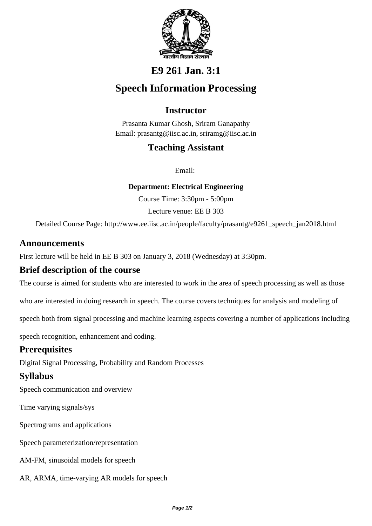

# **E9 261 Jan. 3:1**

# **Speech Information Processing**

# **Instructor**

Prasanta Kumar Ghosh, Sriram Ganapathy Email: prasantg@iisc.ac.in, sriramg@iisc.ac.in

## **Teaching Assistant**

Email:

**Department: Electrical Engineering**

Course Time: 3:30pm - 5:00pm

Lecture venue: EE B 303

Detailed Course Page: http://www.ee.iisc.ac.in/people/faculty/prasantg/e9261\_speech\_jan2018.html

### **Announcements**

First lecture will be held in EE B 303 on January 3, 2018 (Wednesday) at 3:30pm.

### **Brief description of the course**

The course is aimed for students who are interested to work in the area of speech processing as well as those

who are interested in doing research in speech. The course covers techniques for analysis and modeling of

speech both from signal processing and machine learning aspects covering a number of applications including

speech recognition, enhancement and coding.

### **Prerequisites**

Digital Signal Processing, Probability and Random Processes

## **Syllabus**

Speech communication and overview

Time varying signals/sys

Spectrograms and applications

Speech parameterization/representation

AM-FM, sinusoidal models for speech

AR, ARMA, time-varying AR models for speech